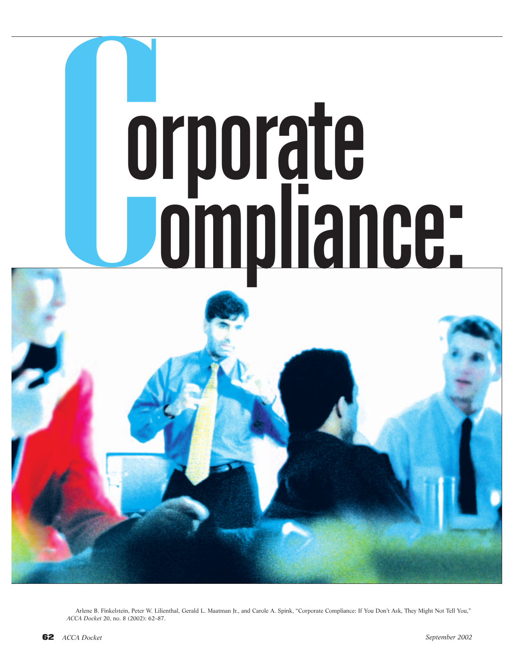

Arlene B. Finkelstein, Peter W. Lilienthal, Gerald L. Maatman Jr., and Carole A. Spink, "Corporate Compliance: If You Don't Ask, They Might Not Tell You," *ACCA Docket* 20, no. 8 (2002): 62–87.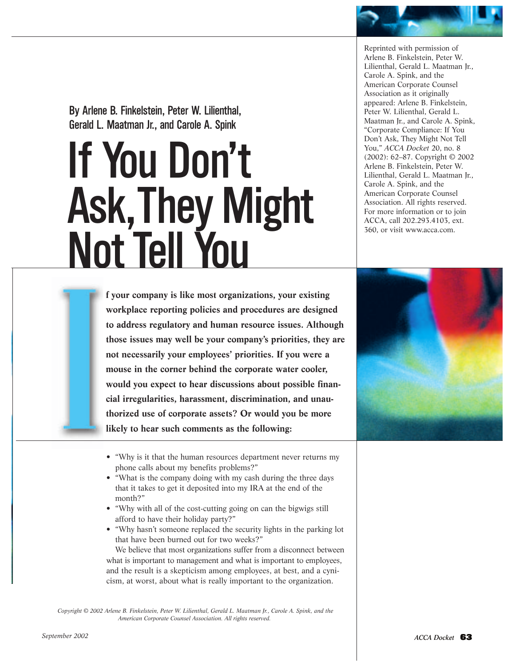By Arlene B. Finkelstein, Peter W. Lilienthal, Gerald L. Maatman Jr., and Carole A. Spink

# If You Don't Ask,They Might Not Tell You

Reprinted with permission of Arlene B. Finkelstein, Peter W. Lilienthal, Gerald L. Maatman Jr., Carole A. Spink, and the American Corporate Counsel Association as it originally appeared: Arlene B. Finkelstein, Peter W. Lilienthal, Gerald L. Maatman Jr., and Carole A. Spink, "Corporate Compliance: If You Don't Ask, They Might Not Tell You," *ACCA Docket* 20, no. 8 (2002): 62–87. Copyright © 2002 Arlene B. Finkelstein, Peter W. Lilienthal, Gerald L. Maatman Jr., Carole A. Spink, and the American Corporate Counsel Association. All rights reserved. For more information or to join ACCA, call 202.293.4103, ext. 360, or visit www.acca.com.

**f your company is like most organizations, your existing workplace reporting policies and procedures are designed to address regulatory and human resource issues. Although those issues may well be your company's priorities, they are not necessarily your employees' priorities. If you were a mouse in the corner behind the corporate water cooler, would you expect to hear discussions about possible financial irregularities, harassment, discrimination, and unauthorized use of corporate assets? Or would you be more likely to hear such comments as the following:** 



- "Why is it that the human resources department never returns my phone calls about my benefits problems?"
- "What is the company doing with my cash during the three days that it takes to get it deposited into my IRA at the end of the month?"
- "Why with all of the cost-cutting going on can the bigwigs still afford to have their holiday party?"
- "Why hasn't someone replaced the security lights in the parking lot that have been burned out for two weeks?"

We believe that most organizations suffer from a disconnect between what is important to management and what is important to employees, and the result is a skepticism among employees, at best, and a cynicism, at worst, about what is really important to the organization.

*Copyright © 2002 Arlene B. Finkelstein, Peter W. Lilienthal, Gerald L. Maatman Jr., Carole A. Spink, and the American Corporate Counsel Association. All rights reserved.*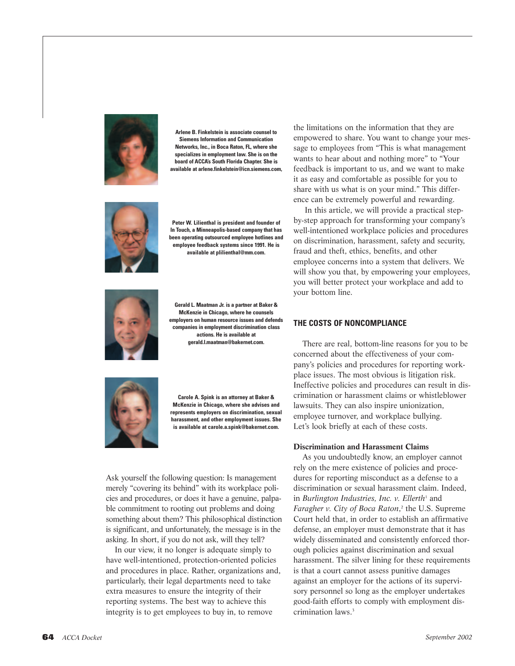

**Arlene B. Finkelstein is associate counsel to Siemens Information and Communication Networks, Inc., in Boca Raton, FL, where she specializes in employment law. She is on the board of ACCA's South Florida Chapter. She is available at arlene.finkelstein@icn.siemens.com,**



**Peter W. Lilienthal is president and founder of In Touch, a Minneapolis-based company that has been operating outsourced employee hotlines and employee feedback systems since 1991. He is available at plilienthal@mm.com.**



**Gerald L. Maatman Jr. is a partner at Baker & McKenzie in Chicago, where he counsels employers on human resource issues and defends companies in employment discrimination class actions. He is available at gerald.l.maatman@bakernet.com.**



**Carole A. Spink is an attorney at Baker & McKenzie in Chicago, where she advises and represents employers on discrimination, sexual harassment, and other employment issues. She is available at carole.a.spink@bakernet.com.**

Ask yourself the following question: Is management merely "covering its behind" with its workplace policies and procedures, or does it have a genuine, palpable commitment to rooting out problems and doing something about them? This philosophical distinction is significant, and unfortunately, the message is in the asking. In short, if you do not ask, will they tell?

In our view, it no longer is adequate simply to have well-intentioned, protection-oriented policies and procedures in place. Rather, organizations and, particularly, their legal departments need to take extra measures to ensure the integrity of their reporting systems. The best way to achieve this integrity is to get employees to buy in, to remove

the limitations on the information that they are empowered to share. You want to change your message to employees from "This is what management wants to hear about and nothing more" to "Your feedback is important to us, and we want to make it as easy and comfortable as possible for you to share with us what is on your mind." This difference can be extremely powerful and rewarding.

In this article, we will provide a practical stepby-step approach for transforming your company's well-intentioned workplace policies and procedures on discrimination, harassment, safety and security, fraud and theft, ethics, benefits, and other employee concerns into a system that delivers. We will show you that, by empowering your employees, you will better protect your workplace and add to your bottom line.

#### **THE COSTS OF NONCOMPLIANCE**

There are real, bottom-line reasons for you to be concerned about the effectiveness of your company's policies and procedures for reporting workplace issues. The most obvious is litigation risk. Ineffective policies and procedures can result in discrimination or harassment claims or whistleblower lawsuits. They can also inspire unionization, employee turnover, and workplace bullying. Let's look briefly at each of these costs.

#### **Discrimination and Harassment Claims**

As you undoubtedly know, an employer cannot rely on the mere existence of policies and procedures for reporting misconduct as a defense to a discrimination or sexual harassment claim. Indeed, in *Burlington Industries, Inc. v. Ellerth<sup>1</sup>* and *Faragher v. City of Boca Raton*, <sup>2</sup> the U.S. Supreme Court held that, in order to establish an affirmative defense, an employer must demonstrate that it has widely disseminated and consistently enforced thorough policies against discrimination and sexual harassment. The silver lining for these requirements is that a court cannot assess punitive damages against an employer for the actions of its supervisory personnel so long as the employer undertakes good-faith efforts to comply with employment discrimination laws.<sup>3</sup>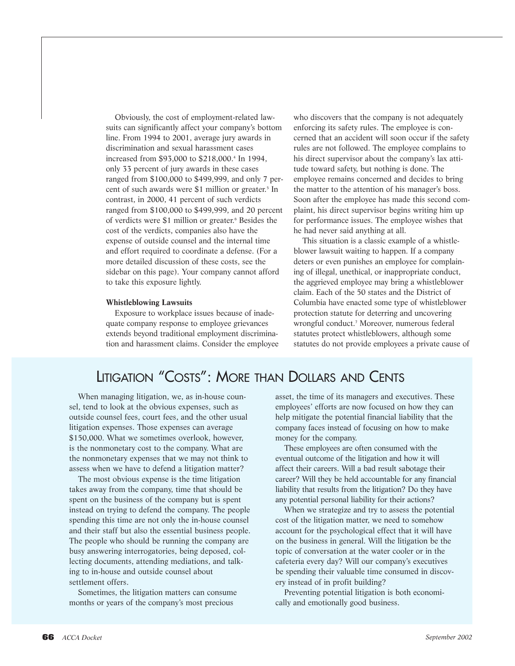Obviously, the cost of employment-related lawsuits can significantly affect your company's bottom line. From 1994 to 2001, average jury awards in discrimination and sexual harassment cases increased from \$93,000 to \$218,000.4 In 1994, only 33 percent of jury awards in these cases ranged from \$100,000 to \$499,999, and only 7 percent of such awards were \$1 million or greater.<sup>5</sup> In contrast, in 2000, 41 percent of such verdicts ranged from \$100,000 to \$499,999, and 20 percent of verdicts were \$1 million or greater.<sup>6</sup> Besides the cost of the verdicts, companies also have the expense of outside counsel and the internal time and effort required to coordinate a defense. (For a more detailed discussion of these costs, see the sidebar on this page). Your company cannot afford to take this exposure lightly.

#### **Whistleblowing Lawsuits**

Exposure to workplace issues because of inadequate company response to employee grievances extends beyond traditional employment discrimination and harassment claims. Consider the employee who discovers that the company is not adequately enforcing its safety rules. The employee is concerned that an accident will soon occur if the safety rules are not followed. The employee complains to his direct supervisor about the company's lax attitude toward safety, but nothing is done. The employee remains concerned and decides to bring the matter to the attention of his manager's boss. Soon after the employee has made this second complaint, his direct supervisor begins writing him up for performance issues. The employee wishes that he had never said anything at all.

This situation is a classic example of a whistleblower lawsuit waiting to happen. If a company deters or even punishes an employee for complaining of illegal, unethical, or inappropriate conduct, the aggrieved employee may bring a whistleblower claim. Each of the 50 states and the District of Columbia have enacted some type of whistleblower protection statute for deterring and uncovering wrongful conduct.7 Moreover, numerous federal statutes protect whistleblowers, although some statutes do not provide employees a private cause of

# LITIGATION "COSTS": MORE THAN DOLLARS AND CENTS

When managing litigation, we, as in-house counsel, tend to look at the obvious expenses, such as outside counsel fees, court fees, and the other usual litigation expenses. Those expenses can average \$150,000. What we sometimes overlook, however, is the nonmonetary cost to the company. What are the nonmonetary expenses that we may not think to assess when we have to defend a litigation matter?

The most obvious expense is the time litigation takes away from the company, time that should be spent on the business of the company but is spent instead on trying to defend the company. The people spending this time are not only the in-house counsel and their staff but also the essential business people. The people who should be running the company are busy answering interrogatories, being deposed, collecting documents, attending mediations, and talking to in-house and outside counsel about settlement offers.

Sometimes, the litigation matters can consume months or years of the company's most precious

asset, the time of its managers and executives. These employees' efforts are now focused on how they can help mitigate the potential financial liability that the company faces instead of focusing on how to make money for the company.

These employees are often consumed with the eventual outcome of the litigation and how it will affect their careers. Will a bad result sabotage their career? Will they be held accountable for any financial liability that results from the litigation? Do they have any potential personal liability for their actions?

When we strategize and try to assess the potential cost of the litigation matter, we need to somehow account for the psychological effect that it will have on the business in general. Will the litigation be the topic of conversation at the water cooler or in the cafeteria every day? Will our company's executives be spending their valuable time consumed in discovery instead of in profit building?

Preventing potential litigation is both economically and emotionally good business.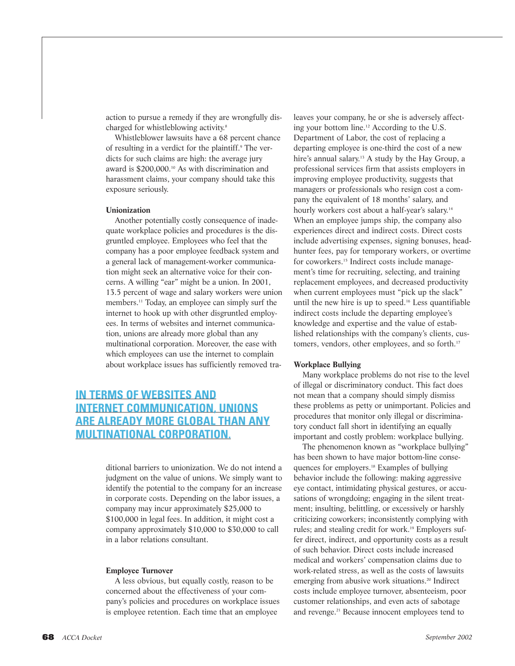action to pursue a remedy if they are wrongfully discharged for whistleblowing activity.8

Whistleblower lawsuits have a 68 percent chance of resulting in a verdict for the plaintiff.9 The verdicts for such claims are high: the average jury award is \$200,000.<sup>10</sup> As with discrimination and harassment claims, your company should take this exposure seriously.

#### **Unionization**

Another potentially costly consequence of inadequate workplace policies and procedures is the disgruntled employee. Employees who feel that the company has a poor employee feedback system and a general lack of management-worker communication might seek an alternative voice for their concerns. A willing "ear" might be a union. In 2001, 13.5 percent of wage and salary workers were union members.<sup>11</sup> Today, an employee can simply surf the internet to hook up with other disgruntled employees. In terms of websites and internet communication, unions are already more global than any multinational corporation. Moreover, the ease with which employees can use the internet to complain about workplace issues has sufficiently removed tra-

## **IN TERMS OF WEBSITES AND INTERNET COMMUNICATION, UNIONS ARE ALREADY MORE GLOBAL THAN ANY MULTINATIONAL CORPORATION.**

ditional barriers to unionization. We do not intend a judgment on the value of unions. We simply want to identify the potential to the company for an increase in corporate costs. Depending on the labor issues, a company may incur approximately \$25,000 to \$100,000 in legal fees. In addition, it might cost a company approximately \$10,000 to \$30,000 to call in a labor relations consultant.

#### **Employee Turnover**

A less obvious, but equally costly, reason to be concerned about the effectiveness of your company's policies and procedures on workplace issues is employee retention. Each time that an employee

leaves your company, he or she is adversely affecting your bottom line.12 According to the U.S. Department of Labor, the cost of replacing a departing employee is one-third the cost of a new hire's annual salary.<sup>13</sup> A study by the Hay Group, a professional services firm that assists employers in improving employee productivity, suggests that managers or professionals who resign cost a company the equivalent of 18 months' salary, and hourly workers cost about a half-year's salary.<sup>14</sup> When an employee jumps ship, the company also experiences direct and indirect costs. Direct costs include advertising expenses, signing bonuses, headhunter fees, pay for temporary workers, or overtime for coworkers.<sup>15</sup> Indirect costs include management's time for recruiting, selecting, and training replacement employees, and decreased productivity when current employees must "pick up the slack" until the new hire is up to speed.16 Less quantifiable indirect costs include the departing employee's knowledge and expertise and the value of established relationships with the company's clients, customers, vendors, other employees, and so forth.<sup>17</sup>

#### **Workplace Bullying**

Many workplace problems do not rise to the level of illegal or discriminatory conduct. This fact does not mean that a company should simply dismiss these problems as petty or unimportant. Policies and procedures that monitor only illegal or discriminatory conduct fall short in identifying an equally important and costly problem: workplace bullying.

The phenomenon known as "workplace bullying" has been shown to have major bottom-line consequences for employers.18 Examples of bullying behavior include the following: making aggressive eye contact, intimidating physical gestures, or accusations of wrongdoing; engaging in the silent treatment; insulting, belittling, or excessively or harshly criticizing coworkers; inconsistently complying with rules; and stealing credit for work.19 Employers suffer direct, indirect, and opportunity costs as a result of such behavior. Direct costs include increased medical and workers' compensation claims due to work-related stress, as well as the costs of lawsuits emerging from abusive work situations.<sup>20</sup> Indirect costs include employee turnover, absenteeism, poor customer relationships, and even acts of sabotage and revenge.<sup>21</sup> Because innocent employees tend to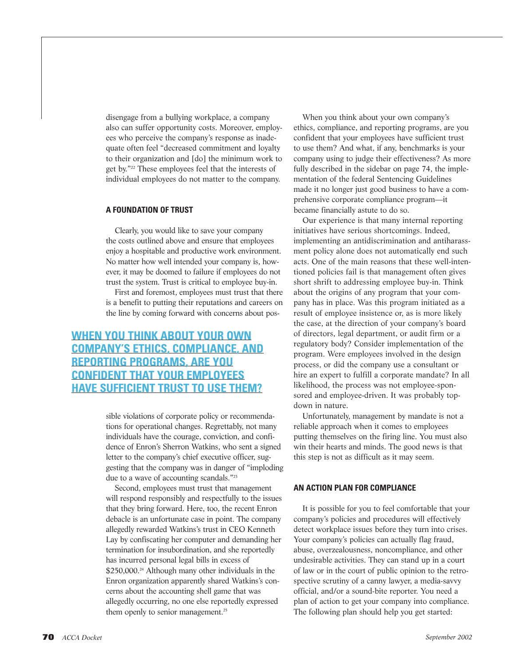disengage from a bullying workplace, a company also can suffer opportunity costs. Moreover, employees who perceive the company's response as inadequate often feel "decreased commitment and loyalty to their organization and [do] the minimum work to get by."22 These employees feel that the interests of individual employees do not matter to the company.

#### **A FOUNDATION OF TRUST**

Clearly, you would like to save your company the costs outlined above and ensure that employees enjoy a hospitable and productive work environment. No matter how well intended your company is, however, it may be doomed to failure if employees do not trust the system. Trust is critical to employee buy-in.

First and foremost, employees must trust that there is a benefit to putting their reputations and careers on the line by coming forward with concerns about pos-

## **WHEN YOU THINK ABOUT YOUR OWN COMPANY'S ETHICS, COMPLIANCE, AND REPORTING PROGRAMS, ARE YOU CONFIDENT THAT YOUR EMPLOYEES HAVE SUFFICIENT TRUST TO USE THEM?**

sible violations of corporate policy or recommendations for operational changes. Regrettably, not many individuals have the courage, conviction, and confidence of Enron's Sherron Watkins, who sent a signed letter to the company's chief executive officer, suggesting that the company was in danger of "imploding due to a wave of accounting scandals."23

Second, employees must trust that management will respond responsibly and respectfully to the issues that they bring forward. Here, too, the recent Enron debacle is an unfortunate case in point. The company allegedly rewarded Watkins's trust in CEO Kenneth Lay by confiscating her computer and demanding her termination for insubordination, and she reportedly has incurred personal legal bills in excess of \$250,000.<sup>24</sup> Although many other individuals in the Enron organization apparently shared Watkins's concerns about the accounting shell game that was allegedly occurring, no one else reportedly expressed them openly to senior management.<sup>25</sup>

When you think about your own company's ethics, compliance, and reporting programs, are you confident that your employees have sufficient trust to use them? And what, if any, benchmarks is your company using to judge their effectiveness? As more fully described in the sidebar on page 74, the implementation of the federal Sentencing Guidelines made it no longer just good business to have a comprehensive corporate compliance program—it became financially astute to do so.

Our experience is that many internal reporting initiatives have serious shortcomings. Indeed, implementing an antidiscrimination and antiharassment policy alone does not automatically end such acts. One of the main reasons that these well-intentioned policies fail is that management often gives short shrift to addressing employee buy-in. Think about the origins of any program that your company has in place. Was this program initiated as a result of employee insistence or, as is more likely the case, at the direction of your company's board of directors, legal department, or audit firm or a regulatory body? Consider implementation of the program. Were employees involved in the design process, or did the company use a consultant or hire an expert to fulfill a corporate mandate? In all likelihood, the process was not employee-sponsored and employee-driven. It was probably topdown in nature.

Unfortunately, management by mandate is not a reliable approach when it comes to employees putting themselves on the firing line. You must also win their hearts and minds. The good news is that this step is not as difficult as it may seem.

#### **AN ACTION PLAN FOR COMPLIANCE**

It is possible for you to feel comfortable that your company's policies and procedures will effectively detect workplace issues before they turn into crises. Your company's policies can actually flag fraud, abuse, overzealousness, noncompliance, and other undesirable activities. They can stand up in a court of law or in the court of public opinion to the retrospective scrutiny of a canny lawyer, a media-savvy official, and/or a sound-bite reporter. You need a plan of action to get your company into compliance. The following plan should help you get started: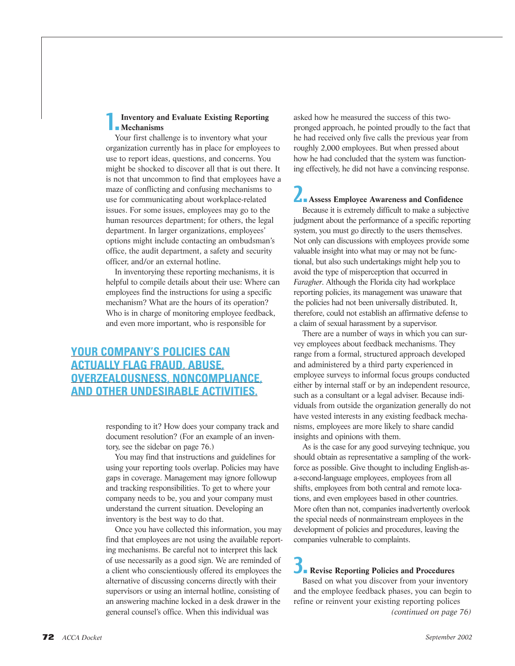#### 1.**Inventory and Evaluate Existing Reporting Mechanisms**

Your first challenge is to inventory what your organization currently has in place for employees to use to report ideas, questions, and concerns. You might be shocked to discover all that is out there. It is not that uncommon to find that employees have a maze of conflicting and confusing mechanisms to use for communicating about workplace-related issues. For some issues, employees may go to the human resources department; for others, the legal department. In larger organizations, employees' options might include contacting an ombudsman's office, the audit department, a safety and security officer, and/or an external hotline.

In inventorying these reporting mechanisms, it is helpful to compile details about their use: Where can employees find the instructions for using a specific mechanism? What are the hours of its operation? Who is in charge of monitoring employee feedback, and even more important, who is responsible for

# **YOUR COMPANY'S POLICIES CAN ACTUALLY FLAG FRAUD, ABUSE, OVERZEALOUSNESS, NONCOMPLIANCE, AND OTHER UNDESIRABLE ACTIVITIES.**

responding to it? How does your company track and document resolution? (For an example of an inventory, see the sidebar on page 76.)

You may find that instructions and guidelines for using your reporting tools overlap. Policies may have gaps in coverage. Management may ignore followup and tracking responsibilities. To get to where your company needs to be, you and your company must understand the current situation. Developing an inventory is the best way to do that.

Once you have collected this information, you may find that employees are not using the available reporting mechanisms. Be careful not to interpret this lack of use necessarily as a good sign. We are reminded of a client who conscientiously offered its employees the alternative of discussing concerns directly with their supervisors or using an internal hotline, consisting of an answering machine locked in a desk drawer in the general counsel's office. When this individual was

asked how he measured the success of this twopronged approach, he pointed proudly to the fact that he had received only five calls the previous year from roughly 2,000 employees. But when pressed about how he had concluded that the system was functioning effectively, he did not have a convincing response.

# 2.**Assess Employee Awareness and Confidence**

Because it is extremely difficult to make a subjective judgment about the performance of a specific reporting system, you must go directly to the users themselves. Not only can discussions with employees provide some valuable insight into what may or may not be functional, but also such undertakings might help you to avoid the type of misperception that occurred in *Faragher*. Although the Florida city had workplace reporting policies, its management was unaware that the policies had not been universally distributed. It, therefore, could not establish an affirmative defense to a claim of sexual harassment by a supervisor.

There are a number of ways in which you can survey employees about feedback mechanisms. They range from a formal, structured approach developed and administered by a third party experienced in employee surveys to informal focus groups conducted either by internal staff or by an independent resource, such as a consultant or a legal adviser. Because individuals from outside the organization generally do not have vested interests in any existing feedback mechanisms, employees are more likely to share candid insights and opinions with them.

As is the case for any good surveying technique, you should obtain as representative a sampling of the workforce as possible. Give thought to including English-asa-second-language employees, employees from all shifts, employees from both central and remote locations, and even employees based in other countries. More often than not, companies inadvertently overlook the special needs of nonmainstream employees in the development of policies and procedures, leaving the companies vulnerable to complaints.

## **DRevise Reporting Policies and Procedures**

Based on what you discover from your inventory and the employee feedback phases, you can begin to refine or reinvent your existing reporting polices *(continued on page 76)*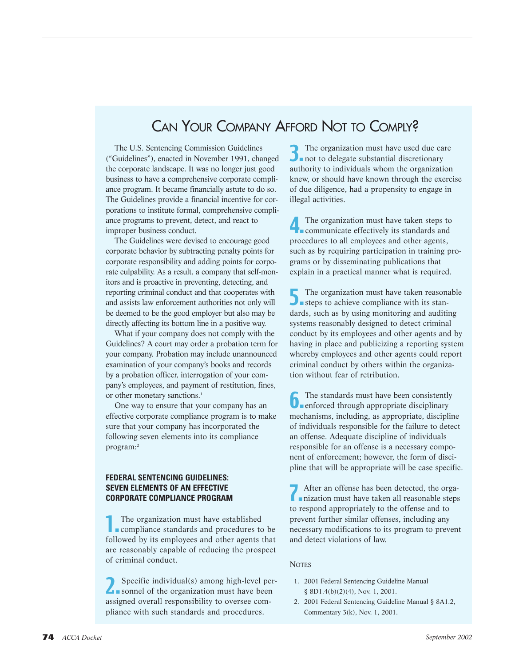# CAN YOUR COMPANY AFFORD NOT TO COMPLY?

The U.S. Sentencing Commission Guidelines ("Guidelines"), enacted in November 1991, changed the corporate landscape. It was no longer just good business to have a comprehensive corporate compliance program. It became financially astute to do so. The Guidelines provide a financial incentive for corporations to institute formal, comprehensive compliance programs to prevent, detect, and react to improper business conduct.

The Guidelines were devised to encourage good corporate behavior by subtracting penalty points for corporate responsibility and adding points for corporate culpability. As a result, a company that self-monitors and is proactive in preventing, detecting, and reporting criminal conduct and that cooperates with and assists law enforcement authorities not only will be deemed to be the good employer but also may be directly affecting its bottom line in a positive way.

What if your company does not comply with the Guidelines? A court may order a probation term for your company. Probation may include unannounced examination of your company's books and records by a probation officer, interrogation of your company's employees, and payment of restitution, fines, or other monetary sanctions.<sup>1</sup>

One way to ensure that your company has an effective corporate compliance program is to make sure that your company has incorporated the following seven elements into its compliance program:2

#### **FEDERAL SENTENCING GUIDELINES: SEVEN ELEMENTS OF AN EFFECTIVE CORPORATE COMPLIANCE PROGRAM**

The organization must have established<br>compliance standards and procedures to be followed by its employees and other agents that are reasonably capable of reducing the prospect of criminal conduct.

2.Specific individual(s) among high-level per-sonnel of the organization must have been assigned overall responsibility to oversee compliance with such standards and procedures.

3.The organization must have used due care not to delegate substantial discretionary authority to individuals whom the organization knew, or should have known through the exercise of due diligence, had a propensity to engage in illegal activities.

The organization must have taken steps to<br>communicate effectively its standards and procedures to all employees and other agents, such as by requiring participation in training programs or by disseminating publications that explain in a practical manner what is required.

The organization must have taken reasonable<br>
steps to achieve compliance with its standards, such as by using monitoring and auditing systems reasonably designed to detect criminal conduct by its employees and other agents and by having in place and publicizing a reporting system whereby employees and other agents could report criminal conduct by others within the organization without fear of retribution.

**6.** The standards must have been consistently **enforced** through appropriate disciplinary mechanisms, including, as appropriate, discipline of individuals responsible for the failure to detect an offense. Adequate discipline of individuals responsible for an offense is a necessary component of enforcement; however, the form of discipline that will be appropriate will be case specific.

7.After an offense has been detected, the orga-nization must have taken all reasonable steps to respond appropriately to the offense and to prevent further similar offenses, including any necessary modifications to its program to prevent and detect violations of law.

#### **NOTES**

- 1. 2001 Federal Sentencing Guideline Manual § 8D1.4(b)(2)(4), Nov. 1, 2001.
- 2. 2001 Federal Sentencing Guideline Manual § 8A1.2, Commentary 3(k), Nov. 1, 2001.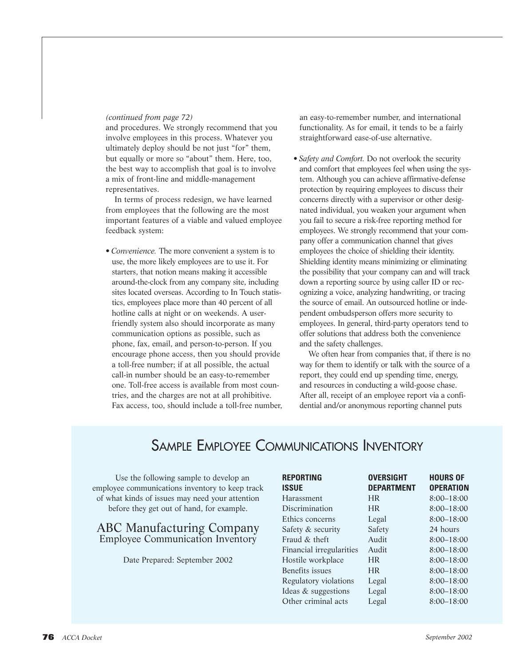#### *(continued from page 72)*

and procedures. We strongly recommend that you involve employees in this process. Whatever you ultimately deploy should be not just "for" them, but equally or more so "about" them. Here, too, the best way to accomplish that goal is to involve a mix of front-line and middle-management representatives.

In terms of process redesign, we have learned from employees that the following are the most important features of a viable and valued employee feedback system:

*• Convenience.* The more convenient a system is to use, the more likely employees are to use it. For starters, that notion means making it accessible around-the-clock from any company site, including sites located overseas. According to In Touch statistics, employees place more than 40 percent of all hotline calls at night or on weekends. A userfriendly system also should incorporate as many communication options as possible, such as phone, fax, email, and person-to-person. If you encourage phone access, then you should provide a toll-free number; if at all possible, the actual call-in number should be an easy-to-remember one. Toll-free access is available from most countries, and the charges are not at all prohibitive. Fax access, too, should include a toll-free number, an easy-to-remember number, and international functionality. As for email, it tends to be a fairly straightforward ease-of-use alternative.

• *Safety and Comfort*. Do not overlook the security and comfort that employees feel when using the system. Although you can achieve affirmative-defense protection by requiring employees to discuss their concerns directly with a supervisor or other designated individual, you weaken your argument when you fail to secure a risk-free reporting method for employees. We strongly recommend that your company offer a communication channel that gives employees the choice of shielding their identity. Shielding identity means minimizing or eliminating the possibility that your company can and will track down a reporting source by using caller ID or recognizing a voice, analyzing handwriting, or tracing the source of email. An outsourced hotline or independent ombudsperson offers more security to employees. In general, third-party operators tend to offer solutions that address both the convenience and the safety challenges.

We often hear from companies that, if there is no way for them to identify or talk with the source of a report, they could end up spending time, energy, and resources in conducting a wild-goose chase. After all, receipt of an employee report via a confidential and/or anonymous reporting channel puts

# SAMPLE EMPLOYEE COMMUNICATIONS INVENTORY

Use the following sample to develop an employee communications inventory to keep track of what kinds of issues may need your attention before they get out of hand, for example.

### ABC Manufacturing Company Employee Communication Inventory

Date Prepared: September 2002

| <b>REPORTING</b>         | <b>OVERSIGHT</b>  | <b>HOURS OF</b>  |
|--------------------------|-------------------|------------------|
| <b>ISSUE</b>             | <b>DEPARTMENT</b> | <b>OPERATION</b> |
| Harassment               | <b>HR</b>         | $8:00 - 18:00$   |
| Discrimination           | <b>HR</b>         | $8:00 - 18:00$   |
| Ethics concerns          | Legal             | $8:00 - 18:00$   |
| Safety & security        | Safety            | 24 hours         |
| Fraud $\&$ theft         | Audit             | $8:00 - 18:00$   |
| Financial irregularities | Audit             | $8:00 - 18:00$   |
| Hostile workplace        | <b>HR</b>         | $8:00 - 18:00$   |
| Benefits issues          | <b>HR</b>         | $8:00 - 18:00$   |
| Regulatory violations    | Legal             | $8:00 - 18:00$   |
| Ideas & suggestions      | Legal             | $8:00 - 18:00$   |
| Other criminal acts      | Legal             | $8:00 - 18:00$   |
|                          |                   |                  |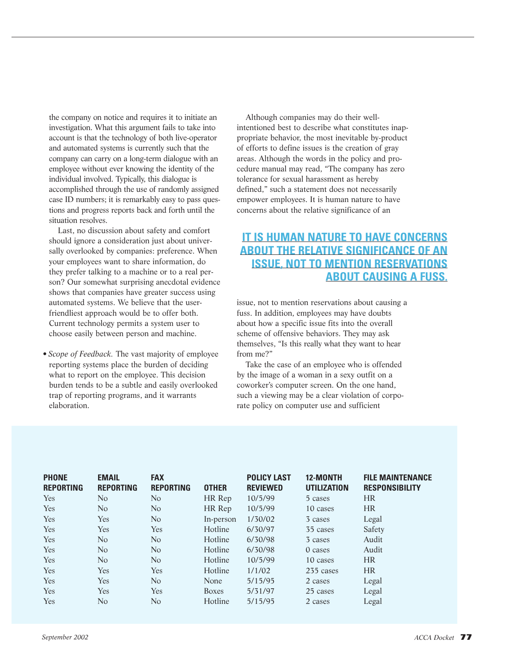the company on notice and requires it to initiate an investigation. What this argument fails to take into account is that the technology of both live-operator and automated systems is currently such that the company can carry on a long-term dialogue with an employee without ever knowing the identity of the individual involved. Typically, this dialogue is accomplished through the use of randomly assigned case ID numbers; it is remarkably easy to pass questions and progress reports back and forth until the situation resolves.

Last, no discussion about safety and comfort should ignore a consideration just about universally overlooked by companies: preference. When your employees want to share information, do they prefer talking to a machine or to a real person? Our somewhat surprising anecdotal evidence shows that companies have greater success using automated systems. We believe that the userfriendliest approach would be to offer both. Current technology permits a system user to choose easily between person and machine.

*• Scope of Feedback.* The vast majority of employee reporting systems place the burden of deciding what to report on the employee. This decision burden tends to be a subtle and easily overlooked trap of reporting programs, and it warrants elaboration.

Although companies may do their wellintentioned best to describe what constitutes inappropriate behavior, the most inevitable by-product of efforts to define issues is the creation of gray areas. Although the words in the policy and procedure manual may read, "The company has zero tolerance for sexual harassment as hereby defined," such a statement does not necessarily empower employees. It is human nature to have concerns about the relative significance of an

# **IT IS HUMAN NATURE TO HAVE CONCERNS ABOUT THE RELATIVE SIGNIFICANCE OF AN ISSUE, NOT TO MENTION RESERVATIONS ABOUT CAUSING A FUSS.**

issue, not to mention reservations about causing a fuss. In addition, employees may have doubts about how a specific issue fits into the overall scheme of offensive behaviors. They may ask themselves, "Is this really what they want to hear from me?"

Take the case of an employee who is offended by the image of a woman in a sexy outfit on a coworker's computer screen. On the one hand, such a viewing may be a clear violation of corporate policy on computer use and sufficient

| <b>PHONE</b><br><b>REPORTING</b> | <b>EMAIL</b><br><b>REPORTING</b> | <b>FAX</b><br><b>REPORTING</b> | <b>OTHER</b> | <b>POLICY LAST</b><br><b>REVIEWED</b> | 12-MONTH<br><b>UTILIZATION</b> | <b>FILE MAINTENANCE</b><br><b>RESPONSIBILITY</b> |
|----------------------------------|----------------------------------|--------------------------------|--------------|---------------------------------------|--------------------------------|--------------------------------------------------|
| Yes                              | N <sub>o</sub>                   | N <sub>o</sub>                 | HR Rep       | 10/5/99                               | 5 cases                        | <b>HR</b>                                        |
| Yes                              | N <sub>o</sub>                   | N <sub>o</sub>                 | HR Rep       | 10/5/99                               | 10 cases                       | <b>HR</b>                                        |
| Yes                              | Yes                              | N <sub>o</sub>                 | In-person    | 1/30/02                               | 3 cases                        | Legal                                            |
| Yes                              | Yes                              | Yes                            | Hotline      | 6/30/97                               | 35 cases                       | Safety                                           |
| Yes                              | N <sub>o</sub>                   | N <sub>o</sub>                 | Hotline      | 6/30/98                               | 3 cases                        | Audit                                            |
| Yes                              | N <sub>o</sub>                   | N <sub>o</sub>                 | Hotline      | 6/30/98                               | 0 cases                        | Audit                                            |
| Yes                              | N <sub>o</sub>                   | N <sub>o</sub>                 | Hotline      | 10/5/99                               | 10 cases                       | <b>HR</b>                                        |
| Yes                              | Yes                              | Yes                            | Hotline      | 1/1/02                                | 235 cases                      | <b>HR</b>                                        |
| Yes                              | Yes                              | N <sub>o</sub>                 | None         | 5/15/95                               | 2 cases                        | Legal                                            |
| Yes                              | Yes                              | Yes                            | <b>Boxes</b> | 5/31/97                               | 25 cases                       | Legal                                            |
| Yes                              | No.                              | No                             | Hotline      | 5/15/95                               | 2 cases                        | Legal                                            |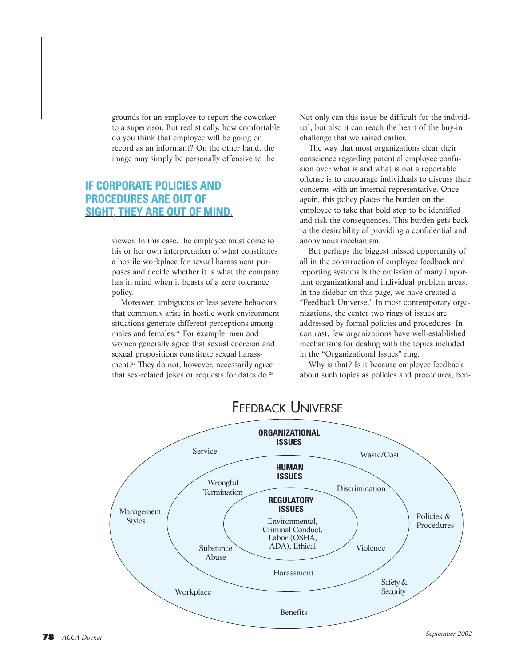grounds for an employee to report the coworker to a supervisor. But realistically, how comfortable do you think that employee will be going on record as an informant? On the other hand, the image may simply be personally offensive to the

## **IF CORPORATE POLICIES AND PROCEDURES ARE OUT OF SIGHT, THEY ARE OUT OF MIND.**

viewer. In this case, the employee must come to his or her own interpretation of what constitutes a hostile workplace for sexual harassment purposes and decide whether it is what the company has in mind when it boasts of a zero tolerance policy.

Moreover, ambiguous or less severe behaviors that commonly arise in hostile work environment situations generate different perceptions among males and females.26 For example, men and women generally agree that sexual coercion and sexual propositions constitute sexual harassment.<sup>27</sup> They do not, however, necessarily agree that sex-related jokes or requests for dates do.<sup>28</sup>

Not only can this issue be difficult for the individual, but also it can reach the heart of the buy-in challenge that we raised earlier.

The way that most organizations clear their conscience regarding potential employee confusion over what is and what is not a reportable offense is to encourage individuals to discuss their concerns with an internal representative. Once again, this policy places the burden on the employee to take that bold step to be identified and risk the consequences. This burden gets back to the desirability of providing a confidential and anonymous mechanism.

But perhaps the biggest missed opportunity of all in the construction of employee feedback and reporting systems is the omission of many important organizational and individual problem areas. In the sidebar on this page, we have created a "Feedback Universe." In most contemporary organizations, the center two rings of issues are addressed by formal policies and procedures. In contrast, few organizations have well-established mechanisms for dealing with the topics included in the "Organizational Issues" ring.

Why is that? Is it because employee feedback about such topics as policies and procedures, ben-



# FEEDBACK UNIVERSE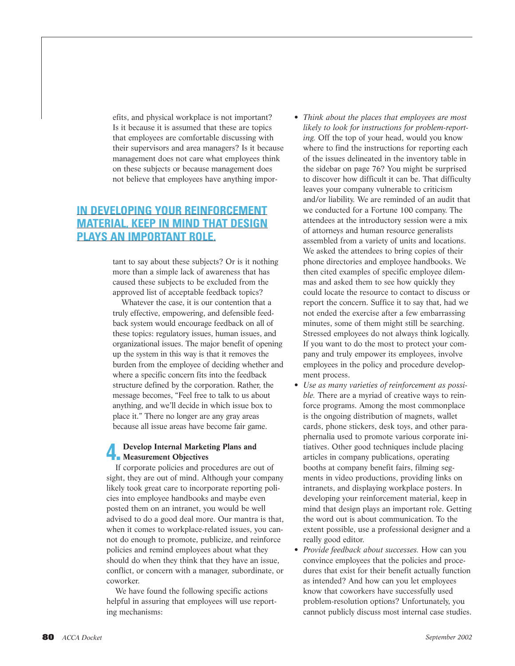efits, and physical workplace is not important? Is it because it is assumed that these are topics that employees are comfortable discussing with their supervisors and area managers? Is it because management does not care what employees think on these subjects or because management does not believe that employees have anything impor-

# **IN DEVELOPING YOUR REINFORCEMENT MATERIAL, KEEP IN MIND THAT DESIGN PLAYS AN IMPORTANT ROLE.**

tant to say about these subjects? Or is it nothing more than a simple lack of awareness that has caused these subjects to be excluded from the approved list of acceptable feedback topics?

Whatever the case, it is our contention that a truly effective, empowering, and defensible feedback system would encourage feedback on all of these topics: regulatory issues, human issues, and organizational issues. The major benefit of opening up the system in this way is that it removes the burden from the employee of deciding whether and where a specific concern fits into the feedback structure defined by the corporation. Rather, the message becomes, "Feel free to talk to us about anything, and we'll decide in which issue box to place it." There no longer are any gray areas because all issue areas have become fair game.

# 4. **Develop Internal Marketing Plans and Measurement Objectives**

If corporate policies and procedures are out of sight, they are out of mind. Although your company likely took great care to incorporate reporting policies into employee handbooks and maybe even posted them on an intranet, you would be well advised to do a good deal more. Our mantra is that, when it comes to workplace-related issues, you cannot do enough to promote, publicize, and reinforce policies and remind employees about what they should do when they think that they have an issue, conflict, or concern with a manager, subordinate, or coworker.

We have found the following specific actions helpful in assuring that employees will use reporting mechanisms:

- *Think about the places that employees are most likely to look for instructions for problem-reporting.* Off the top of your head, would you know where to find the instructions for reporting each of the issues delineated in the inventory table in the sidebar on page 76? You might be surprised to discover how difficult it can be. That difficulty leaves your company vulnerable to criticism and/or liability. We are reminded of an audit that we conducted for a Fortune 100 company. The attendees at the introductory session were a mix of attorneys and human resource generalists assembled from a variety of units and locations. We asked the attendees to bring copies of their phone directories and employee handbooks. We then cited examples of specific employee dilemmas and asked them to see how quickly they could locate the resource to contact to discuss or report the concern. Suffice it to say that, had we not ended the exercise after a few embarrassing minutes, some of them might still be searching. Stressed employees do not always think logically. If you want to do the most to protect your company and truly empower its employees, involve employees in the policy and procedure development process.
- *Use as many varieties of reinforcement as possible.* There are a myriad of creative ways to reinforce programs. Among the most commonplace is the ongoing distribution of magnets, wallet cards, phone stickers, desk toys, and other paraphernalia used to promote various corporate initiatives. Other good techniques include placing articles in company publications, operating booths at company benefit fairs, filming segments in video productions, providing links on intranets, and displaying workplace posters. In developing your reinforcement material, keep in mind that design plays an important role. Getting the word out is about communication. To the extent possible, use a professional designer and a really good editor.
- *Provide feedback about successes.* How can you convince employees that the policies and procedures that exist for their benefit actually function as intended? And how can you let employees know that coworkers have successfully used problem-resolution options? Unfortunately, you cannot publicly discuss most internal case studies.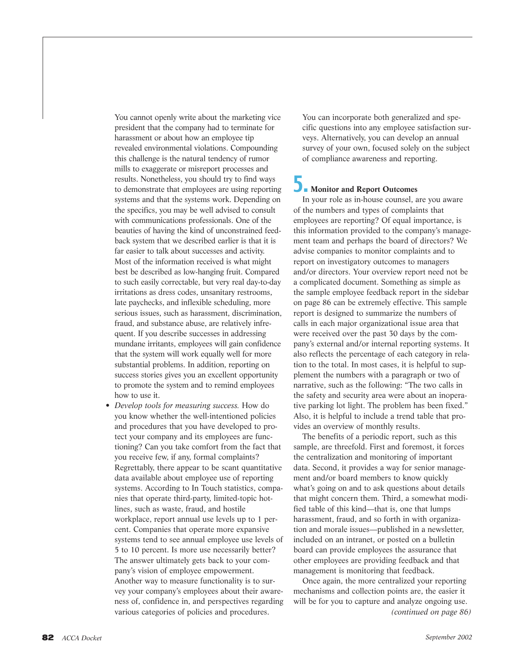You cannot openly write about the marketing vice president that the company had to terminate for harassment or about how an employee tip revealed environmental violations. Compounding this challenge is the natural tendency of rumor mills to exaggerate or misreport processes and results. Nonetheless, you should try to find ways to demonstrate that employees are using reporting systems and that the systems work. Depending on the specifics, you may be well advised to consult with communications professionals. One of the beauties of having the kind of unconstrained feedback system that we described earlier is that it is far easier to talk about successes and activity. Most of the information received is what might best be described as low-hanging fruit. Compared to such easily correctable, but very real day-to-day irritations as dress codes, unsanitary restrooms, late paychecks, and inflexible scheduling, more serious issues, such as harassment, discrimination, fraud, and substance abuse, are relatively infrequent. If you describe successes in addressing mundane irritants, employees will gain confidence that the system will work equally well for more substantial problems. In addition, reporting on success stories gives you an excellent opportunity to promote the system and to remind employees how to use it.

• *Develop tools for measuring success.* How do you know whether the well-intentioned policies and procedures that you have developed to protect your company and its employees are functioning? Can you take comfort from the fact that you receive few, if any, formal complaints? Regrettably, there appear to be scant quantitative data available about employee use of reporting systems. According to In Touch statistics, companies that operate third-party, limited-topic hotlines, such as waste, fraud, and hostile workplace, report annual use levels up to 1 percent. Companies that operate more expansive systems tend to see annual employee use levels of 5 to 10 percent. Is more use necessarily better? The answer ultimately gets back to your company's vision of employee empowerment. Another way to measure functionality is to survey your company's employees about their awareness of, confidence in, and perspectives regarding various categories of policies and procedures.

You can incorporate both generalized and specific questions into any employee satisfaction surveys. Alternatively, you can develop an annual survey of your own, focused solely on the subject of compliance awareness and reporting.

## 5. **Monitor and Report Outcomes**

In your role as in-house counsel, are you aware of the numbers and types of complaints that employees are reporting? Of equal importance, is this information provided to the company's management team and perhaps the board of directors? We advise companies to monitor complaints and to report on investigatory outcomes to managers and/or directors. Your overview report need not be a complicated document. Something as simple as the sample employee feedback report in the sidebar on page 86 can be extremely effective. This sample report is designed to summarize the numbers of calls in each major organizational issue area that were received over the past 30 days by the company's external and/or internal reporting systems. It also reflects the percentage of each category in relation to the total. In most cases, it is helpful to supplement the numbers with a paragraph or two of narrative, such as the following: "The two calls in the safety and security area were about an inoperative parking lot light. The problem has been fixed." Also, it is helpful to include a trend table that provides an overview of monthly results.

The benefits of a periodic report, such as this sample, are threefold. First and foremost, it forces the centralization and monitoring of important data. Second, it provides a way for senior management and/or board members to know quickly what's going on and to ask questions about details that might concern them. Third, a somewhat modified table of this kind—that is, one that lumps harassment, fraud, and so forth in with organization and morale issues—published in a newsletter, included on an intranet, or posted on a bulletin board can provide employees the assurance that other employees are providing feedback and that management is monitoring that feedback.

Once again, the more centralized your reporting mechanisms and collection points are, the easier it will be for you to capture and analyze ongoing use. *(continued on page 86)*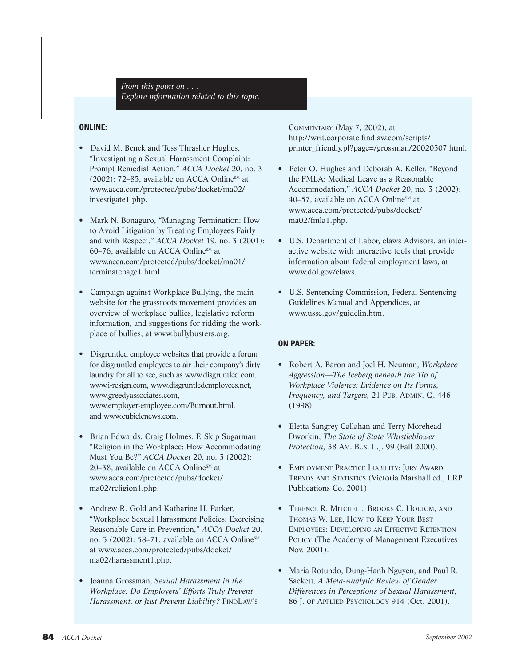*From this point on . . . Explore information related to this topic.*

#### **ONLINE:**

- David M. Benck and Tess Thrasher Hughes, "Investigating a Sexual Harassment Complaint: Prompt Remedial Action," *ACCA Docket* 20, no. 3 (2002): 72–85, available on ACCA Online<sup>SM</sup> at www.acca.com/protected/pubs/docket/ma02/ investigate1.php.
- Mark N. Bonaguro, "Managing Termination: How to Avoid Litigation by Treating Employees Fairly and with Respect," *ACCA Docket* 19, no. 3 (2001): 60–76, available on ACCA Online<sup>SM</sup> at www.acca.com/protected/pubs/docket/ma01/ terminatepage1.html.
- Campaign against Workplace Bullying, the main website for the grassroots movement provides an overview of workplace bullies, legislative reform information, and suggestions for ridding the workplace of bullies, at www.bullybusters.org.
- Disgruntled employee websites that provide a forum for disgruntled employees to air their company's dirty laundry for all to see, such as www.disgruntled.com, www.i-resign.com, www.disgruntledemployees.net, www.greedyassociates.com, www.employer-employee.com/Burnout.html, and www.cubiclenews.com.
- Brian Edwards, Craig Holmes, F. Skip Sugarman, "Religion in the Workplace: How Accommodating Must You Be?" *ACCA Docket* 20, no. 3 (2002): 20–38, available on ACCA Online<sup>SM</sup> at www.acca.com/protected/pubs/docket/ ma02/religion1.php.
- Andrew R. Gold and Katharine H. Parker, "Workplace Sexual Harassment Policies: Exercising Reasonable Care in Prevention," *ACCA Docket* 20, no. 3 (2002): 58–71, available on ACCA Online<sup>SM</sup> at www.acca.com/protected/pubs/docket/ ma02/harassment1.php.
- Joanna Grossman, *Sexual Harassment in the Workplace: Do Employers' Efforts Truly Prevent Harassment, or Just Prevent Liability?* FINDLAW'S

COMMENTARY (May 7, 2002), at http://writ.corporate.findlaw.com/scripts/ printer\_friendly.pl?page=/grossman/20020507.html.

- Peter O. Hughes and Deborah A. Keller, "Beyond the FMLA: Medical Leave as a Reasonable Accommodation," *ACCA Docket* 20, no. 3 (2002): 40–57, available on ACCA Online<sup>SM</sup> at www.acca.com/protected/pubs/docket/ ma02/fmla1.php.
- U.S. Department of Labor, elaws Advisors, an interactive website with interactive tools that provide information about federal employment laws, at www.dol.gov/elaws.
- U.S. Sentencing Commission, Federal Sentencing Guidelines Manual and Appendices, at www.ussc.gov/guidelin.htm.

#### **ON PAPER:**

- Robert A. Baron and Joel H. Neuman, *Workplace Aggression—The Iceberg beneath the Tip of Workplace Violence: Evidence on Its Forms, Frequency, and Targets,* 21 PUB. ADMIN. Q. 446 (1998).
- Eletta Sangrey Callahan and Terry Morehead Dworkin, *The State of State Whistleblower Protection,* 38 AM. BUS. L.J. 99 (Fall 2000).
- EMPLOYMENT PRACTICE LIABILITY: JURY AWARD TRENDS AND STATISTICS (Victoria Marshall ed., LRP Publications Co. 2001).
- TERENCE R. MITCHELL, BROOKS C. HOLTOM, AND THOMAS W. LEE, HOW TO KEEP YOUR BEST EMPLOYEES: DEVELOPING AN EFFECTIVE RETENTION POLICY (The Academy of Management Executives Nov. 2001).
- Maria Rotundo, Dung-Hanh Nguyen, and Paul R. Sackett, *A Meta-Analytic Review of Gender Differences in Perceptions of Sexual Harassment,* 86 J. OF APPLIED PSYCHOLOGY 914 (Oct. 2001).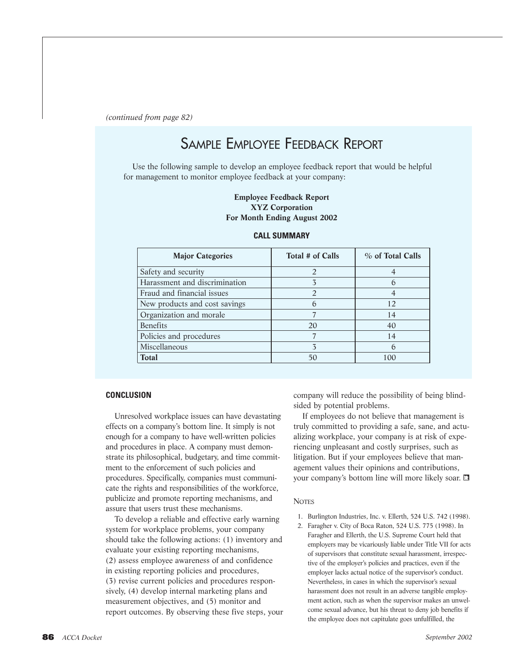*(continued from page 82)*

# SAMPLE EMPLOYEE FEEDBACK REPORT

Use the following sample to develop an employee feedback report that would be helpful for management to monitor employee feedback at your company:

#### **Employee Feedback Report XYZ Corporation For Month Ending August 2002**

| <b>Major Categories</b>       | Total # of Calls | % of Total Calls |
|-------------------------------|------------------|------------------|
| Safety and security           |                  |                  |
| Harassment and discrimination |                  |                  |
| Fraud and financial issues    |                  |                  |
| New products and cost savings | $\mathfrak b$    | 12               |
| Organization and morale       |                  | 14               |
| <b>Benefits</b>               | 20               | 40               |
| Policies and procedures       |                  | 14               |
| Miscellaneous                 | $\overline{3}$   | $\mathfrak b$    |
| Total                         | 50               | 100              |

#### **CALL SUMMARY**

#### **CONCLUSION**

Unresolved workplace issues can have devastating effects on a company's bottom line. It simply is not enough for a company to have well-written policies and procedures in place. A company must demonstrate its philosophical, budgetary, and time commitment to the enforcement of such policies and procedures. Specifically, companies must communicate the rights and responsibilities of the workforce, publicize and promote reporting mechanisms, and assure that users trust these mechanisms.

To develop a reliable and effective early warning system for workplace problems, your company should take the following actions: (1) inventory and evaluate your existing reporting mechanisms, (2) assess employee awareness of and confidence in existing reporting policies and procedures, (3) revise current policies and procedures responsively, (4) develop internal marketing plans and measurement objectives, and (5) monitor and report outcomes. By observing these five steps, your company will reduce the possibility of being blindsided by potential problems.

If employees do not believe that management is truly committed to providing a safe, sane, and actualizing workplace, your company is at risk of experiencing unpleasant and costly surprises, such as litigation. But if your employees believe that management values their opinions and contributions, your company's bottom line will more likely soar.

#### **NOTES**

- 1. Burlington Industries, Inc. v. Ellerth, 524 U.S. 742 (1998).
- 2. Faragher v. City of Boca Raton, 524 U.S. 775 (1998). In Faragher and Ellerth, the U.S. Supreme Court held that employers may be vicariously liable under Title VII for acts of supervisors that constitute sexual harassment, irrespective of the employer's policies and practices, even if the employer lacks actual notice of the supervisor's conduct. Nevertheless, in cases in which the supervisor's sexual harassment does not result in an adverse tangible employment action, such as when the supervisor makes an unwelcome sexual advance, but his threat to deny job benefits if the employee does not capitulate goes unfulfilled, the